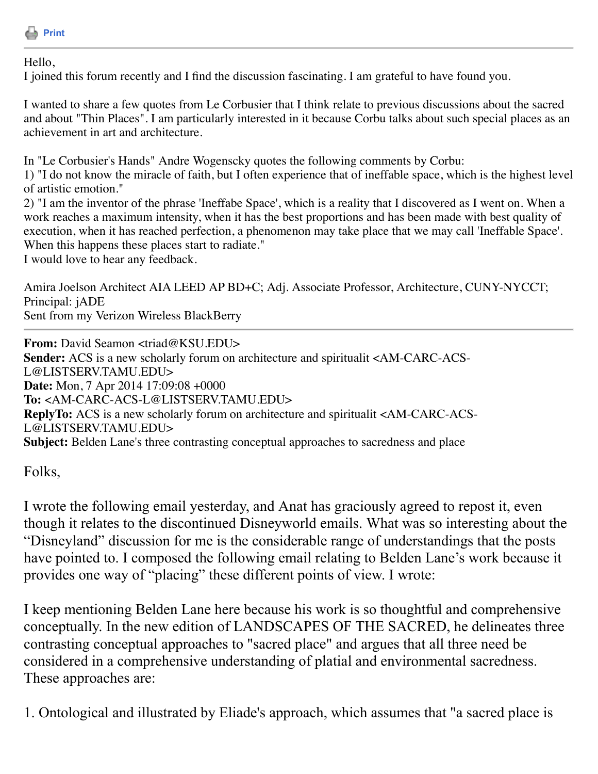

## Hello,

I joined this forum recently and I find the discussion fascinating. I am grateful to have found you.

I wanted to share a few quotes from Le Corbusier that I think relate to previous discussions about the sacred and about "Thin Places". I am particularly interested in it because Corbu talks about such special places as an achievement in art and architecture.

In "Le Corbusier's Hands" Andre Wogenscky quotes the following comments by Corbu:

1) "I do not know the miracle of faith, but I often experience that of ineffable space, which is the highest level of artistic emotion."

2) "I am the inventor of the phrase 'Ineffabe Space', which is a reality that I discovered as I went on. When a work reaches a maximum intensity, when it has the best proportions and has been made with best quality of execution, when it has reached perfection, a phenomenon may take place that we may call 'Ineffable Space'. When this happens these places start to radiate."

I would love to hear any feedback.

Amira Joelson Architect AIA LEED AP BD+C; Adj. Associate Professor, Architecture, CUNY-NYCCT; Principal: jADE Sent from my Verizon Wireless BlackBerry

**From:** David Seamon <triad@KSU.EDU> **Sender:** ACS is a new scholarly forum on architecture and spiritualit <AM-CARC-ACS-L@LISTSERV.TAMU.EDU> **Date:** Mon, 7 Apr 2014 17:09:08 +0000 **To:** <AM-CARC-ACS-L@LISTSERV.TAMU.EDU> **ReplyTo:** ACS is a new scholarly forum on architecture and spiritualit <AM-CARC-ACS-L@LISTSERV.TAMU.EDU> **Subject:** Belden Lane's three contrasting conceptual approaches to sacredness and place

Folks,

I wrote the following email yesterday, and Anat has graciously agreed to repost it, even though it relates to the discontinued Disneyworld emails. What was so interesting about the "Disneyland" discussion for me is the considerable range of understandings that the posts have pointed to. I composed the following email relating to Belden Lane's work because it provides one way of "placing" these different points of view. I wrote:

I keep mentioning Belden Lane here because his work is so thoughtful and comprehensive conceptually. In the new edition of LANDSCAPES OF THE SACRED, he delineates three contrasting conceptual approaches to "sacred place" and argues that all three need be considered in a comprehensive understanding of platial and environmental sacredness. These approaches are:

1. Ontological and illustrated by Eliade's approach, which assumes that "a sacred place is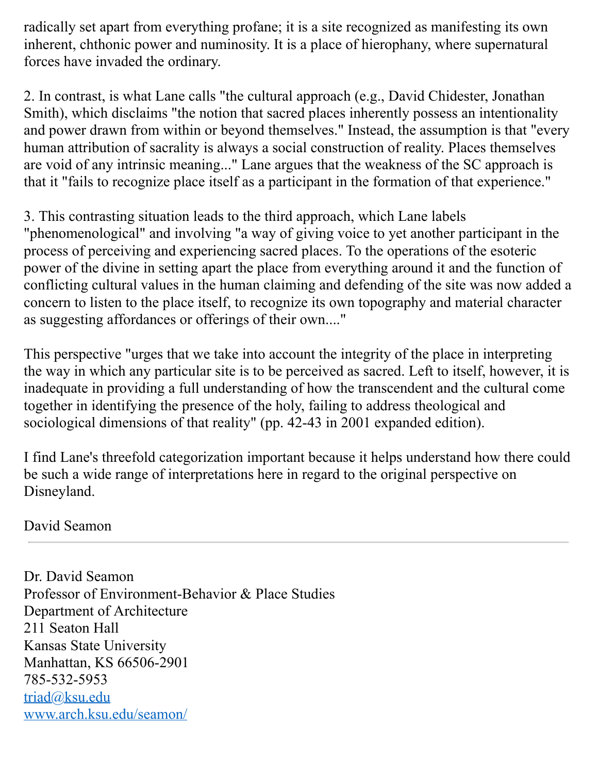radically set apart from everything profane; it is a site recognized as manifesting its own inherent, chthonic power and numinosity. It is a place of hierophany, where supernatural forces have invaded the ordinary.

2. In contrast, is what Lane calls "the cultural approach (e.g., David Chidester, Jonathan Smith), which disclaims "the notion that sacred places inherently possess an intentionality and power drawn from within or beyond themselves." Instead, the assumption is that "every human attribution of sacrality is always a social construction of reality. Places themselves are void of any intrinsic meaning..." Lane argues that the weakness of the SC approach is that it "fails to recognize place itself as a participant in the formation of that experience."

3. This contrasting situation leads to the third approach, which Lane labels "phenomenological" and involving "a way of giving voice to yet another participant in the process of perceiving and experiencing sacred places. To the operations of the esoteric

power of the divine in setting apart the place from everything around it and the function of conflicting cultural values in the human claiming and defending of the site was now added a concern to listen to the place itself, to recognize its own topography and material character as suggesting affordances or offerings of their own...."

This perspective "urges that we take into account the integrity of the place in interpreting the way in which any particular site is to be perceived as sacred. Left to itself, however, it is inadequate in providing a full understanding of how the transcendent and the cultural come together in identifying the presence of the holy, failing to address theological and sociological dimensions of that reality" (pp. 42-43 in 2001 expanded edition).

I find Lane's threefold categorization important because it helps understand how there could be such a wide range of interpretations here in regard to the original perspective on Disneyland.

David Seamon

Dr. David Seamon Professor of Environment-Behavior & Place Studies Department of Architecture 211 Seaton Hall Kansas State University Manhattan, KS 66506-2901 785-532-5953 [triad@ksu.edu](mailto:triad@ksu.edu) [www.arch.ksu.edu/seamon/](http://www.arch.ksu.edu/seamon/)